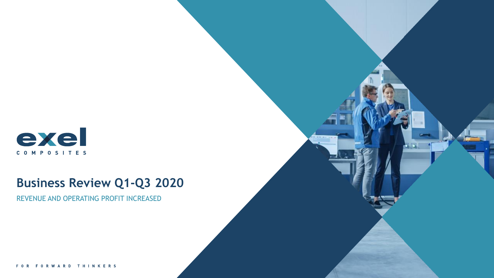

# **Business Review Q1-Q3 2020**

REVENUE AND OPERATING PROFIT INCREASED

FORWARD THINKERS F O R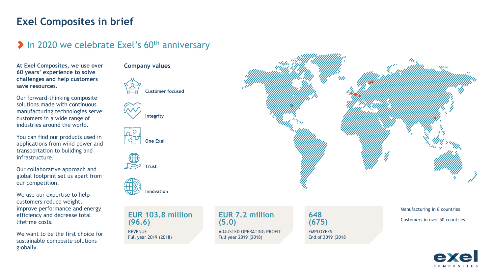## **Exel Composites in brief**

#### In 2020 we celebrate Exel's  $60<sup>th</sup>$  anniversary

**At Exel Composites, we use over 60 years' experience to solve challenges and help customers save resources.** 

Our forward-thinking composite solutions made with continuous manufacturing technologies serve customers in a wide range of industries around the world.

You can find our products used in applications from wind power and transportation to building and infrastructure.

Our collaborative approach and global footprint set us apart from our competition.

We use our expertise to help customers reduce weight, improve performance and energy efficiency and decrease total lifetime costs.

We want to be the first choice for sustainable composite solutions globally.

#### **Company values**











**EUR 103.8 million (96.6)** REVENUE Full year 2019 (2018)

**EUR 7.2 million (5.0)** ADJUSTED OPERATING PROFIT Full year 2019 (2018)

**648 (675) EMPLOYEES** End of 2019 (2018 Manufacturing in 6 countries Customers in over 50 countries



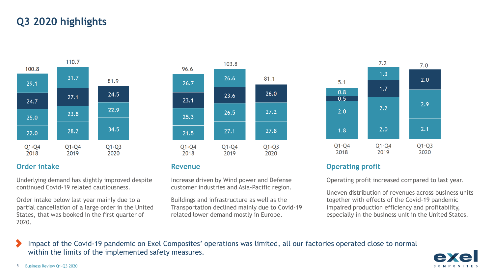## **Q3 2020 highlights**



Underlying demand has slightly improved despite continued Covid-19 related cautiousness.

Order intake below last year mainly due to a partial cancellation of a large order in the United States, that was booked in the first quarter of 2020.



Increase driven by Wind power and Defense customer industries and Asia-Pacific region.

Buildings and infrastructure as well as the Transportation declined mainly due to Covid-19 related lower demand mostly in Europe.



#### **Order intake Revenue Revenue Revenue** *Operating profit*

Operating profit increased compared to last year.

Uneven distribution of revenues across business units together with effects of the Covid-19 pandemic impaired production efficiency and profitability, especially in the business unit in the United States.

 $\blacktriangleright$ Impact of the Covid-19 pandemic on Exel Composites' operations was limited, all our factories operated close to normal within the limits of the implemented safety measures.

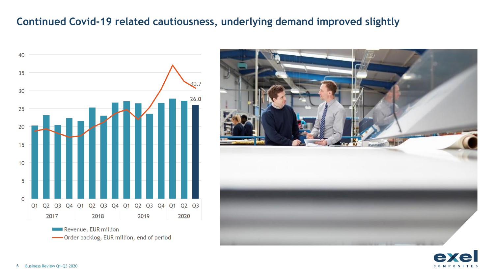## **Continued Covid-19 related cautiousness, underlying demand improved slightly**



-Order backlog, EUR million, end of period



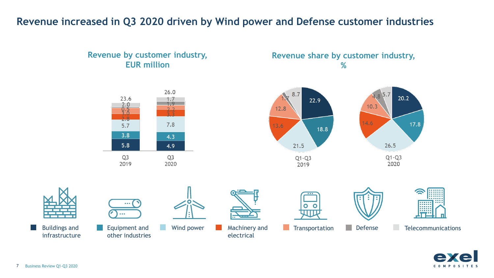## **Revenue increased in Q3 2020 driven by Wind power and Defense customer industries**

#### **Revenue by customer industry, EUR million**

#### **Revenue share by customer industry, %**







Buildings and infrastructure



other industries



electrical Equipment and **Defense Consumersion Defense Consumersion Defense** 





Wind power Machinery and Transportation Defense Telecommunications

**ALC N** 

**TELEVISION** 

. . . .



7 Business Review Q1-Q3 2020

l.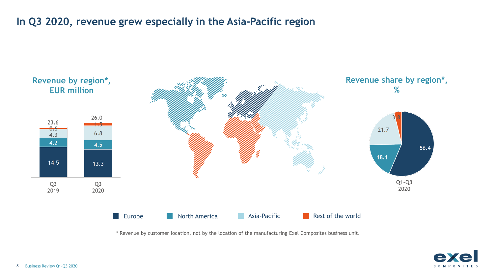## **In Q3 2020, revenue grew especially in the Asia-Pacific region**



\* Revenue by customer location, not by the location of the manufacturing Exel Composites business unit.

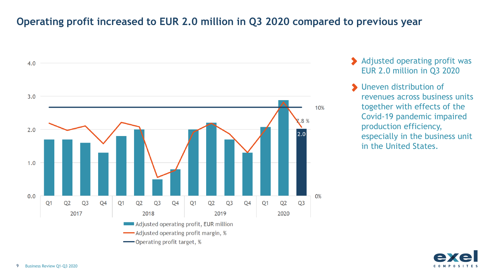## **Operating profit increased to EUR 2.0 million in Q3 2020 compared to previous year**



- Adjusted operating profit was EUR 2.0 million in Q3 2020
- Uneven distribution of revenues across business units together with effects of the Covid-19 pandemic impaired production efficiency, especially in the business unit in the United States.

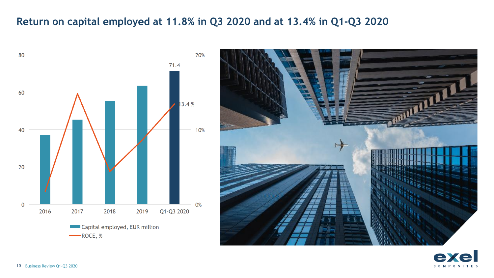## **Return on capital employed at 11.8% in Q3 2020 and at 13.4% in Q1-Q3 2020**



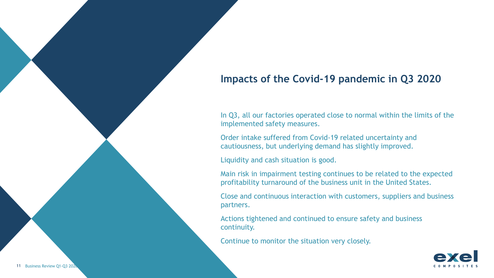## **Impacts of the Covid-19 pandemic in Q3 2020**

In Q3, all our factories operated close to normal within the limits of the implemented safety measures.

Order intake suffered from Covid-19 related uncertainty and cautiousness, but underlying demand has slightly improved.

Liquidity and cash situation is good.

Main risk in impairment testing continues to be related to the expected profitability turnaround of the business unit in the United States.

Close and continuous interaction with customers, suppliers and business partners.

Actions tightened and continued to ensure safety and business continuity.

Continue to monitor the situation very closely.

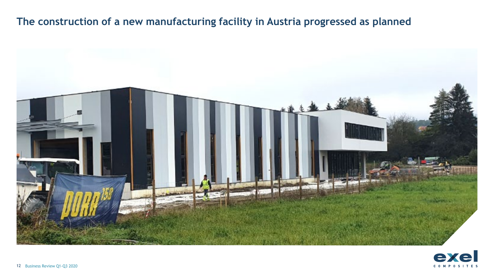## **The construction of a new manufacturing facility in Austria progressed as planned**



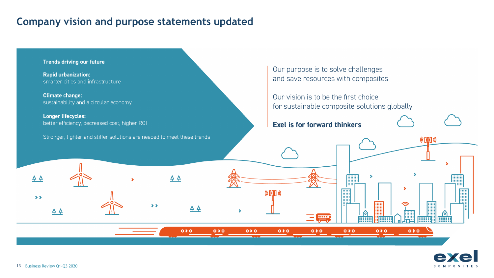#### **Company vision and purpose statements updated**



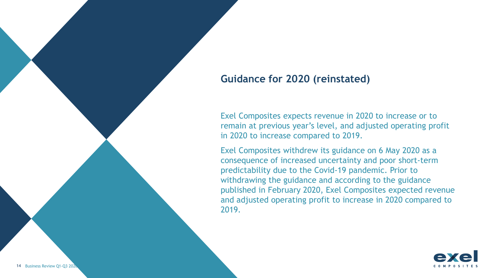#### **Guidance for 2020 (reinstated)**

Exel Composites expects revenue in 2020 to increase or to remain at previous year's level, and adjusted operating profit in 2020 to increase compared to 2019.

Exel Composites withdrew its guidance on 6 May 2020 as a consequence of increased uncertainty and poor short-term predictability due to the Covid-19 pandemic. Prior to withdrawing the guidance and according to the guidance published in February 2020, Exel Composites expected revenue and adjusted operating profit to increase in 2020 compared to 2019.

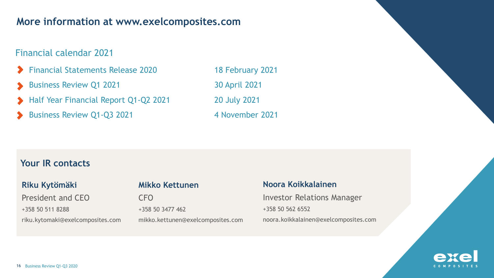#### **More information at www.exelcomposites.com**

#### Financial calendar 2021

- Financial Statements Release 2020 18 February 2021
- Business Review Q1 2021 30 April 2021
- Half Year Financial Report Q1-Q2 2021 20 July 2021
- Business Review Q1-Q3 2021 4 November 2021

#### **Your IR contacts**

#### **Riku Kytömäki**

President and CEO +358 50 511 8288 riku.kytomaki@exelcomposites.com

#### **Mikko Kettunen**

CFO +358 50 3477 462 mikko.kettunen@exelcomposites.com

#### **Noora Koikkalainen**

Investor Relations Manager +358 50 562 6552 noora.koikkalainen@exelcomposites.com